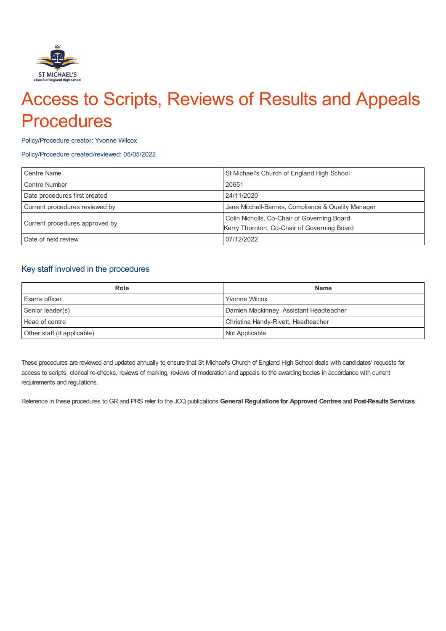

# Access to Scripts, Reviews of Results and Appeals **Procedures**

#### Policy/Procedure creator: Yvonne Wilcox

#### Policy/Procedure created/reviewed: 05/05/2022

| <b>Centre Name</b>             | St Michael's Church of England High School         |
|--------------------------------|----------------------------------------------------|
| <b>Centre Number</b>           | 20651                                              |
| Date procedures first created  | 24/11/2020                                         |
| Current procedures reviewed by | Jane Mitchell-Barnes, Compliance & Quality Manager |
| Current procedures approved by | Colin Nicholls, Co-Chair of Governing Board        |
|                                | Kerry Thornton, Co-Chair of Governing Board        |
| Date of next review            | 07/12/2022                                         |

## Key staff involved in the procedures

| Role                        | <b>Name</b>                             |
|-----------------------------|-----------------------------------------|
| <b>Exams officer</b>        | <b>Yvonne Wilcox</b>                    |
| Senior leader(s)            | Damien Mackinney, Assistant Headteacher |
| Head of centre              | Christina Handy-Rivett, Headteacher     |
| Other staff (if applicable) | Not Applicable                          |

These procedures are reviewed and updated annually to ensure that St Michael's Church of England High School deals with candidates' requests for access to scripts, clerical re-checks, reviews of marking, reviews of moderation and appeals to the awarding bodies in accordance with current requirements and regulations.

Reference in these procedures to GR and PRS refer to the JCQ publications **General Regulations for Approved Centres** and **Post-ResultsServices**.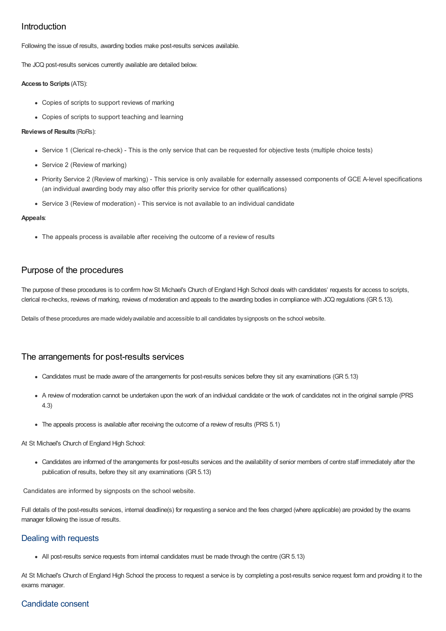## Introduction

Following the issue of results, awarding bodies make post-results services available.

The JCQ post-results services currently available are detailed below.

#### **Access to Scripts** (ATS):

- Copies of scripts to support reviews of marking
- Copies of scripts to support teaching and learning

#### **Reviewsof Results** (RoRs):

- Service 1 (Clerical re-check) This is the only service that can be requested for objective tests (multiple choice tests)
- Service 2 (Review of marking)
- Priority Service 2 (Review of marking) This service is only available for externally assessed components of GCE A-level specifications (an individual awarding body may also offer this priority service for other qualifications)
- Service 3 (Review of moderation) This service is not available to an individual candidate

#### **Appeals**:

• The appeals process is available after receiving the outcome of a review of results

## Purpose of the procedures

The purpose of these procedures is to confirm how St Michael's Church of England High School deals with candidates' requests for access to scripts, clerical re-checks, reviews of marking, reviews of moderation and appeals to the awarding bodies in compliance with JCQ regulations (GR 5.13).

Details of these procedures are made widelyavailable and accessible to all candidates bysignposts on the school website.

## The arrangements for post-results services

- Candidates must be made aware of the arrangements for post-results services before they sit any examinations (GR 5.13)
- A review of moderation cannot be undertaken upon the work of an individual candidate or the work of candidates not in the original sample (PRS 4.3)
- The appeals process is available after receiving the outcome of a review of results (PRS 5.1)

At St Michael's Church of England High School:

Candidates are informed of the arrangements for post-results services and the availability of senior members of centre staff immediately after the publication of results, before they sit any examinations (GR 5.13)

Candidates are informed by signposts on the school website.

Full details of the post-results services, internal deadline(s) for requesting a service and the fees charged (where applicable) are provided by the exams manager following the issue of results.

## Dealing with requests

All post-results service requests from internal candidates must be made through the centre (GR 5.13)

At St Michael's Church of England High School the process to request a service is by completing a post-results service request form and providing it to the exams manager.

# Candidate consent